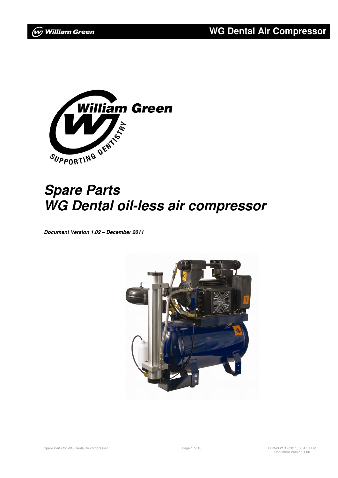

# **Spare Parts WG Dental oil-less air compressor**

**Document Version 1.02 – December 2011** 

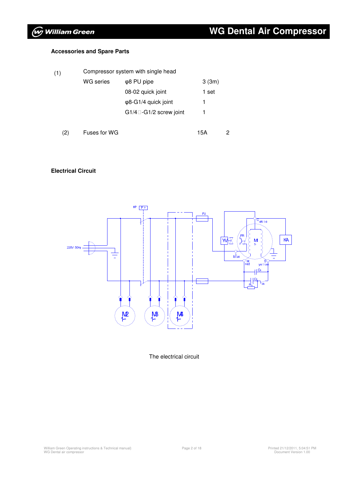#### The electrical circuit

## **WG Dental Air Compressor**

#### **Accessories and Spare Parts**

| (1) | Compressor system with single head |                              |       |   |  |
|-----|------------------------------------|------------------------------|-------|---|--|
|     | <b>WG</b> series                   | $\varphi$ 8 PU pipe          | 3(3m) |   |  |
|     |                                    | 08-02 quick joint            | 1 set |   |  |
|     |                                    | $\varphi$ 8-G1/4 quick joint | 1     |   |  |
|     |                                    | G1/4 -G1/2 screw joint       |       |   |  |
|     |                                    |                              |       |   |  |
| (2) | Fuses for WG                       |                              | 15A   | 2 |  |

#### **Electrical Circuit**



### **Wy William Green**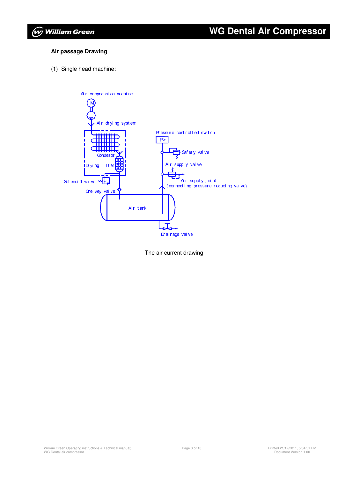### **WG Dental Air Compressor**

#### **Air passage Drawing**

(1) Single head machine:



The air current drawing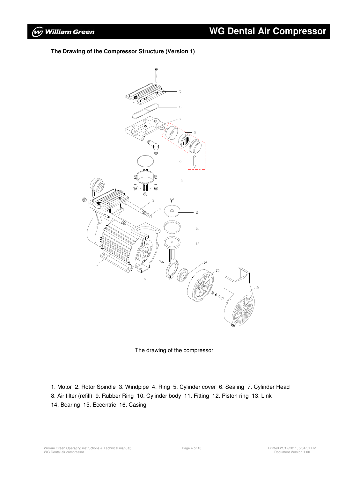**The Drawing of the Compressor Structure (Version 1)**





1. Motor 2. Rotor Spindle 3. Windpipe 4. Ring 5. Cylinder cover 6. Sealing 7. Cylinder Head 8. Air filter (refill) 9. Rubber Ring 10. Cylinder body 11. Fitting 12. Piston ring 13. Link 14. Bearing 15. Eccentric 16. Casing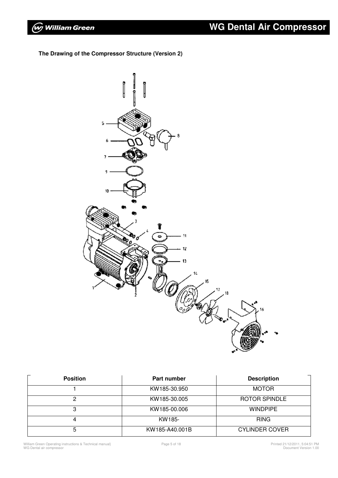**The Drawing of the Compressor Structure (Version 2)**



| <b>Position</b> | <b>Part number</b> | <b>Description</b>    |
|-----------------|--------------------|-----------------------|
|                 | KW185-30.950       | <b>MOTOR</b>          |
|                 | KW185-30.005       | <b>ROTOR SPINDLE</b>  |
| 3               | KW185-00.006       | <b>WINDPIPE</b>       |
| 4               | KW185-             | <b>RING</b>           |
| 5               | KW185-A40.001B     | <b>CYLINDER COVER</b> |

William Green Operating instructions & Technical manual} WG Dental air compressor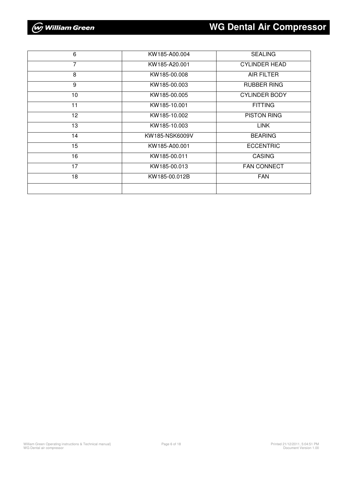| 6               | KW185-A00.004  | <b>SEALING</b>       |
|-----------------|----------------|----------------------|
| $\overline{7}$  | KW185-A20.001  | <b>CYLINDER HEAD</b> |
| 8               | KW185-00.008   | <b>AIR FILTER</b>    |
| 9               | KW185-00.003   | <b>RUBBER RING</b>   |
| 10              | KW185-00.005   | <b>CYLINDER BODY</b> |
| 11              | KW185-10.001   | <b>FITTING</b>       |
| 12 <sup>2</sup> | KW185-10.002   | <b>PISTON RING</b>   |
| 13              | KW185-10.003   | <b>LINK</b>          |
| 14              | KW185-NSK6009V | <b>BEARING</b>       |
| 15              | KW185-A00.001  | <b>ECCENTRIC</b>     |
| 16              | KW185-00.011   | <b>CASING</b>        |
| 17              | KW185-00.013   | <b>FAN CONNECT</b>   |
| 18              | KW185-00.012B  | <b>FAN</b>           |
|                 |                |                      |